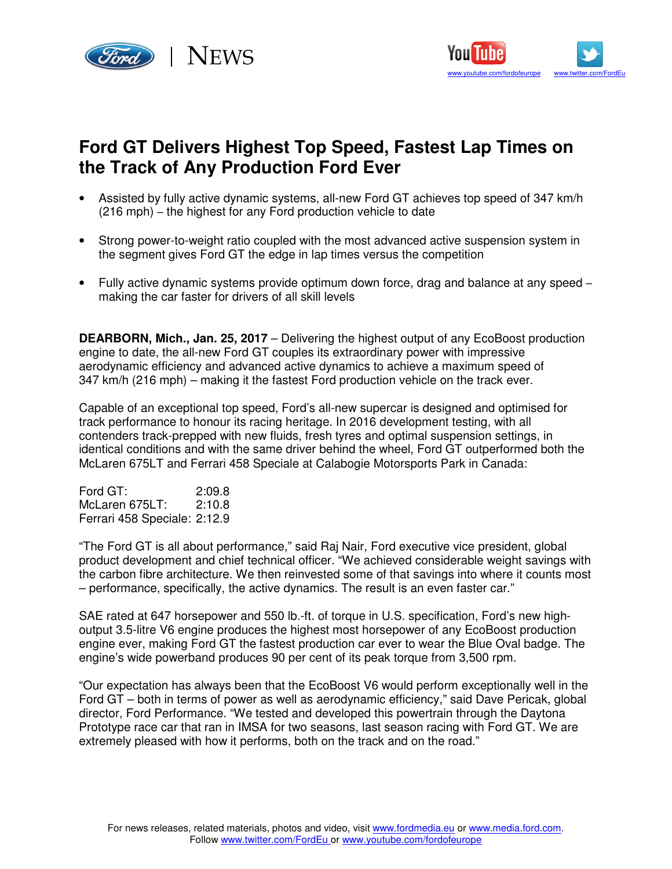



## **Ford GT Delivers Highest Top Speed, Fastest Lap Times on the Track of Any Production Ford Ever**

- Assisted by fully active dynamic systems, all-new Ford GT achieves top speed of 347 km/h (216 mph) – the highest for any Ford production vehicle to date
- Strong power-to-weight ratio coupled with the most advanced active suspension system in the segment gives Ford GT the edge in lap times versus the competition
- Fully active dynamic systems provide optimum down force, drag and balance at any speed making the car faster for drivers of all skill levels

**DEARBORN, Mich., Jan. 25, 2017** – Delivering the highest output of any EcoBoost production engine to date, the all-new Ford GT couples its extraordinary power with impressive aerodynamic efficiency and advanced active dynamics to achieve a maximum speed of 347 km/h (216 mph) – making it the fastest Ford production vehicle on the track ever.

Capable of an exceptional top speed, Ford's all-new supercar is designed and optimised for track performance to honour its racing heritage. In 2016 development testing, with all contenders track-prepped with new fluids, fresh tyres and optimal suspension settings, in identical conditions and with the same driver behind the wheel, Ford GT outperformed both the McLaren 675LT and Ferrari 458 Speciale at Calabogie Motorsports Park in Canada:

Ford GT: 2:09.8 McLaren 675LT: 2:10.8 Ferrari 458 Speciale: 2:12.9

"The Ford GT is all about performance," said Raj Nair, Ford executive vice president, global product development and chief technical officer. "We achieved considerable weight savings with the carbon fibre architecture. We then reinvested some of that savings into where it counts most – performance, specifically, the active dynamics. The result is an even faster car."

SAE rated at 647 horsepower and 550 lb.-ft. of torque in U.S. specification, Ford's new highoutput 3.5-litre V6 engine produces the highest most horsepower of any EcoBoost production engine ever, making Ford GT the fastest production car ever to wear the Blue Oval badge. The engine's wide powerband produces 90 per cent of its peak torque from 3,500 rpm.

"Our expectation has always been that the EcoBoost V6 would perform exceptionally well in the Ford GT – both in terms of power as well as aerodynamic efficiency," said Dave Pericak, global director, Ford Performance. "We tested and developed this powertrain through the Daytona Prototype race car that ran in IMSA for two seasons, last season racing with Ford GT. We are extremely pleased with how it performs, both on the track and on the road."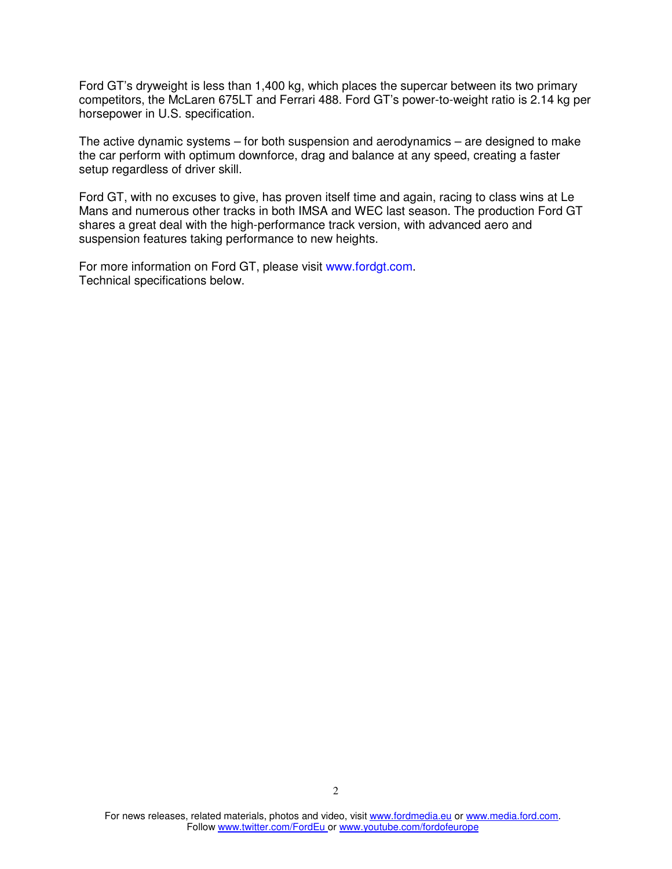Ford GT's dryweight is less than 1,400 kg, which places the supercar between its two primary competitors, the McLaren 675LT and Ferrari 488. Ford GT's power-to-weight ratio is 2.14 kg per horsepower in U.S. specification.

The active dynamic systems – for both suspension and aerodynamics – are designed to make the car perform with optimum downforce, drag and balance at any speed, creating a faster setup regardless of driver skill.

Ford GT, with no excuses to give, has proven itself time and again, racing to class wins at Le Mans and numerous other tracks in both IMSA and WEC last season. The production Ford GT shares a great deal with the high-performance track version, with advanced aero and suspension features taking performance to new heights.

For more information on Ford GT, please visit www.fordgt.com. Technical specifications below.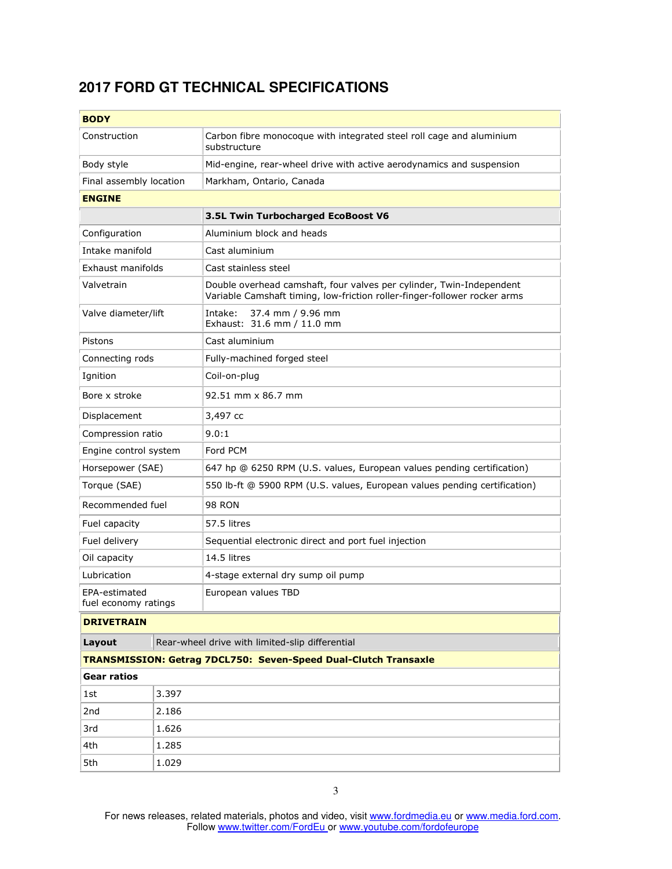## **2017 FORD GT TECHNICAL SPECIFICATIONS**

| <b>BODY</b>                                               |       |                                                                                                                                                   |  |  |
|-----------------------------------------------------------|-------|---------------------------------------------------------------------------------------------------------------------------------------------------|--|--|
| Construction                                              |       | Carbon fibre monocoque with integrated steel roll cage and aluminium<br>substructure                                                              |  |  |
| Body style                                                |       | Mid-engine, rear-wheel drive with active aerodynamics and suspension                                                                              |  |  |
| Final assembly location                                   |       | Markham, Ontario, Canada                                                                                                                          |  |  |
| <b>ENGINE</b>                                             |       |                                                                                                                                                   |  |  |
|                                                           |       | 3.5L Twin Turbocharged EcoBoost V6                                                                                                                |  |  |
| Configuration                                             |       | Aluminium block and heads                                                                                                                         |  |  |
| Intake manifold                                           |       | Cast aluminium                                                                                                                                    |  |  |
| Exhaust manifolds                                         |       | Cast stainless steel                                                                                                                              |  |  |
| Valvetrain                                                |       | Double overhead camshaft, four valves per cylinder, Twin-Independent<br>Variable Camshaft timing, low-friction roller-finger-follower rocker arms |  |  |
| Valve diameter/lift                                       |       | Intake:<br>37.4 mm / 9.96 mm<br>Exhaust: 31.6 mm / 11.0 mm                                                                                        |  |  |
| Pistons                                                   |       | Cast aluminium                                                                                                                                    |  |  |
| Connecting rods                                           |       | Fully-machined forged steel                                                                                                                       |  |  |
| Ignition                                                  |       | Coil-on-plug                                                                                                                                      |  |  |
| Bore x stroke                                             |       | 92.51 mm x 86.7 mm                                                                                                                                |  |  |
| Displacement                                              |       | 3,497 cc                                                                                                                                          |  |  |
| Compression ratio                                         |       | 9.0:1                                                                                                                                             |  |  |
| Engine control system                                     |       | Ford PCM                                                                                                                                          |  |  |
| Horsepower (SAE)                                          |       | 647 hp @ 6250 RPM (U.S. values, European values pending certification)                                                                            |  |  |
| Torque (SAE)                                              |       | 550 lb-ft @ 5900 RPM (U.S. values, European values pending certification)                                                                         |  |  |
| Recommended fuel                                          |       | <b>98 RON</b>                                                                                                                                     |  |  |
| Fuel capacity                                             |       | 57.5 litres                                                                                                                                       |  |  |
| Fuel delivery                                             |       | Sequential electronic direct and port fuel injection                                                                                              |  |  |
| Oil capacity                                              |       | 14.5 litres                                                                                                                                       |  |  |
| Lubrication                                               |       | 4-stage external dry sump oil pump                                                                                                                |  |  |
| EPA-estimated<br>fuel economy ratings                     |       | European values TBD                                                                                                                               |  |  |
| <b>DRIVETRAIN</b>                                         |       |                                                                                                                                                   |  |  |
| Rear-wheel drive with limited-slip differential<br>Layout |       |                                                                                                                                                   |  |  |
|                                                           |       | TRANSMISSION: Getrag 7DCL750: Seven-Speed Dual-Clutch Transaxle                                                                                   |  |  |
| <b>Gear ratios</b>                                        |       |                                                                                                                                                   |  |  |
| 1st                                                       | 3.397 |                                                                                                                                                   |  |  |
| 2nd                                                       | 2.186 |                                                                                                                                                   |  |  |
| 3rd                                                       | 1.626 |                                                                                                                                                   |  |  |
| 4th                                                       | 1.285 |                                                                                                                                                   |  |  |
| 5th                                                       | 1.029 |                                                                                                                                                   |  |  |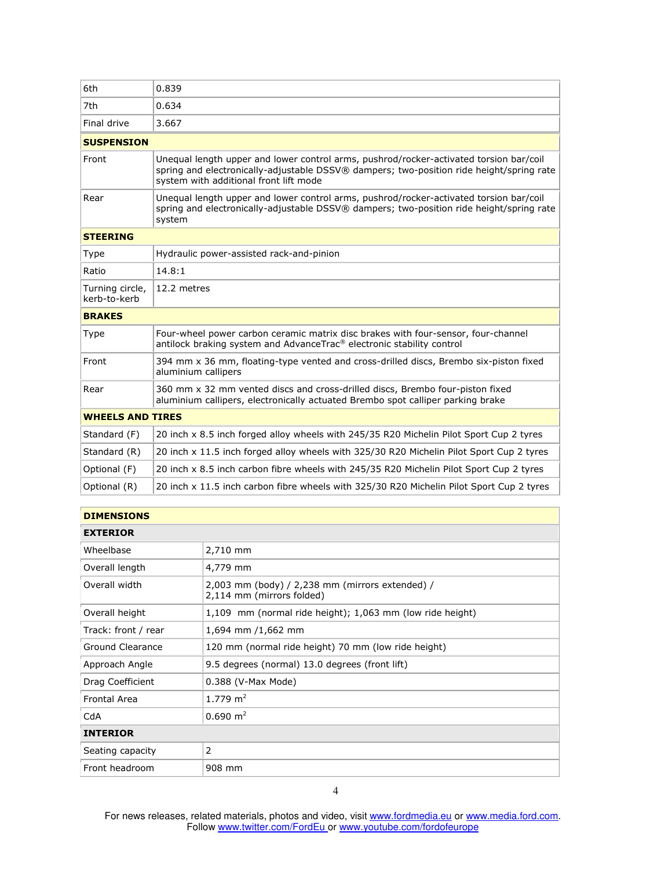| 6th                             | 0.839                                                                                                                                                                                                                        |  |  |  |
|---------------------------------|------------------------------------------------------------------------------------------------------------------------------------------------------------------------------------------------------------------------------|--|--|--|
| 7th                             | 0.634                                                                                                                                                                                                                        |  |  |  |
| Final drive                     | 3.667                                                                                                                                                                                                                        |  |  |  |
| <b>SUSPENSION</b>               |                                                                                                                                                                                                                              |  |  |  |
| Front                           | Unequal length upper and lower control arms, pushrod/rocker-activated torsion bar/coil<br>spring and electronically-adjustable DSSV® dampers; two-position ride height/spring rate<br>system with additional front lift mode |  |  |  |
| Rear                            | Unequal length upper and lower control arms, pushrod/rocker-activated torsion bar/coil<br>spring and electronically-adjustable DSSV® dampers; two-position ride height/spring rate<br>system                                 |  |  |  |
| <b>STEERING</b>                 |                                                                                                                                                                                                                              |  |  |  |
| <b>Type</b>                     | Hydraulic power-assisted rack-and-pinion                                                                                                                                                                                     |  |  |  |
| Ratio                           | 14.8:1                                                                                                                                                                                                                       |  |  |  |
| Turning circle,<br>kerb-to-kerb | 12.2 metres                                                                                                                                                                                                                  |  |  |  |
| <b>BRAKES</b>                   |                                                                                                                                                                                                                              |  |  |  |
| Type                            | Four-wheel power carbon ceramic matrix disc brakes with four-sensor, four-channel<br>antilock braking system and AdvanceTrac® electronic stability control                                                                   |  |  |  |
| Front                           | 394 mm x 36 mm, floating-type vented and cross-drilled discs, Brembo six-piston fixed<br>aluminium callipers                                                                                                                 |  |  |  |
| Rear                            | 360 mm x 32 mm vented discs and cross-drilled discs, Brembo four-piston fixed<br>aluminium callipers, electronically actuated Brembo spot calliper parking brake                                                             |  |  |  |
| <b>WHEELS AND TIRES</b>         |                                                                                                                                                                                                                              |  |  |  |
| Standard (F)                    | 20 inch x 8.5 inch forged alloy wheels with 245/35 R20 Michelin Pilot Sport Cup 2 tyres                                                                                                                                      |  |  |  |
| Standard (R)                    | 20 inch x 11.5 inch forged alloy wheels with 325/30 R20 Michelin Pilot Sport Cup 2 tyres                                                                                                                                     |  |  |  |
| Optional (F)                    | 20 inch x 8.5 inch carbon fibre wheels with 245/35 R20 Michelin Pilot Sport Cup 2 tyres                                                                                                                                      |  |  |  |
| Optional (R)                    | 20 inch x 11.5 inch carbon fibre wheels with 325/30 R20 Michelin Pilot Sport Cup 2 tyres                                                                                                                                     |  |  |  |
|                                 |                                                                                                                                                                                                                              |  |  |  |

| <b>DIMENSIONS</b>   |                                                                              |  |  |  |
|---------------------|------------------------------------------------------------------------------|--|--|--|
| <b>EXTERIOR</b>     |                                                                              |  |  |  |
| Wheelbase           | 2,710 mm                                                                     |  |  |  |
| Overall length      | 4,779 mm                                                                     |  |  |  |
| Overall width       | 2,003 mm (body) / 2,238 mm (mirrors extended) /<br>2,114 mm (mirrors folded) |  |  |  |
| Overall height      | 1,109 mm (normal ride height); 1,063 mm (low ride height)                    |  |  |  |
| Track: front / rear | 1,694 mm /1,662 mm                                                           |  |  |  |
| Ground Clearance    | 120 mm (normal ride height) 70 mm (low ride height)                          |  |  |  |
| Approach Angle      | 9.5 degrees (normal) 13.0 degrees (front lift)                               |  |  |  |
| Drag Coefficient    | 0.388 (V-Max Mode)                                                           |  |  |  |
| <b>Frontal Area</b> | 1.779 $m2$                                                                   |  |  |  |
| CdA                 | $0.690 \; \text{m}^2$                                                        |  |  |  |
| <b>INTERIOR</b>     |                                                                              |  |  |  |
| Seating capacity    | 2                                                                            |  |  |  |
| Front headroom      | 908 mm                                                                       |  |  |  |